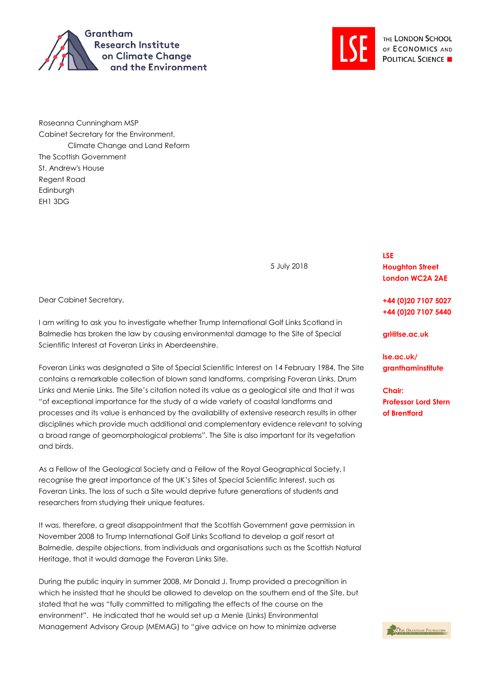



Roseanna Cunningham MSP Cabinet Secretary for the Environment, Climate Change and Land Reform The Scottish Government St. Andrew's House Regent Road **Edinburgh** EH1 3DG

5 July 2018

Dear Cabinet Secretary,

I am writing to ask you to investigate whether Trump International Golf Links Scotland in Balmedie has broken the law by causing environmental damage to the Site of Special Scientific Interest at Foveran Links in Aberdeenshire.

Foveran Links was designated a Site of Special Scientific Interest on 14 February 1984. The Site contains a remarkable collection of blown sand landforms, comprising Foveran Links, Drum Links and Menie Links. The Site's citation noted its value as a geological site and that it was "of exceptional importance for the study of a wide variety of coastal landforms and processes and its value is enhanced by the availability of extensive research results in other disciplines which provide much additional and complementary evidence relevant to solving a broad range of geomorphological problems". The Site is also important for its vegetation and birds.

As a Fellow of the Geological Society and a Fellow of the Royal Geographical Society, I recognise the great importance of the UK's Sites of Special Scientific Interest, such as Foveran Links. The loss of such a Site would deprive future generations of students and researchers from studying their unique features.

It was, therefore, a great disappointment that the Scottish Government gave permission in November 2008 to Trump International Golf Links Scotland to develop a golf resort at Balmedie, despite objections, from individuals and organisations such as the Scottish Natural Heritage, that it would damage the Foveran Links Site.

During the public inquiry in summer 2008, Mr Donald J. Trump provided a precognition in which he insisted that he should be allowed to develop on the southern end of the Site, but stated that he was "fully committed to mitigating the effects of the course on the environment". He indicated that he would set up a Menie (Links) Environmental Management Advisory Group (MEMAG) to "give advice on how to minimize adverse

**LSE Houghton Street London WC2A 2AE**

**+44 (0)20 7107 5027 +44 (0)20 7107 5440**

**gri@lse.ac.uk**

**lse.ac.uk/ granthaminstitute**

**Chair: Professor Lord Stern of Brentford**